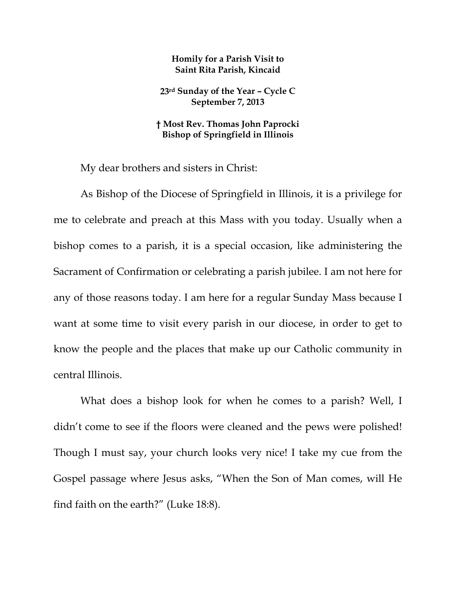## **Homily for a Parish Visit to Saint Rita Parish, Kincaid**

**23rd Sunday of the Year – Cycle C September 7, 2013** 

## **† Most Rev. Thomas John Paprocki Bishop of Springfield in Illinois**

My dear brothers and sisters in Christ:

As Bishop of the Diocese of Springfield in Illinois, it is a privilege for me to celebrate and preach at this Mass with you today. Usually when a bishop comes to a parish, it is a special occasion, like administering the Sacrament of Confirmation or celebrating a parish jubilee. I am not here for any of those reasons today. I am here for a regular Sunday Mass because I want at some time to visit every parish in our diocese, in order to get to know the people and the places that make up our Catholic community in central Illinois.

What does a bishop look for when he comes to a parish? Well, I didn't come to see if the floors were cleaned and the pews were polished! Though I must say, your church looks very nice! I take my cue from the Gospel passage where Jesus asks, "When the Son of Man comes, will He find faith on the earth?" (Luke 18:8).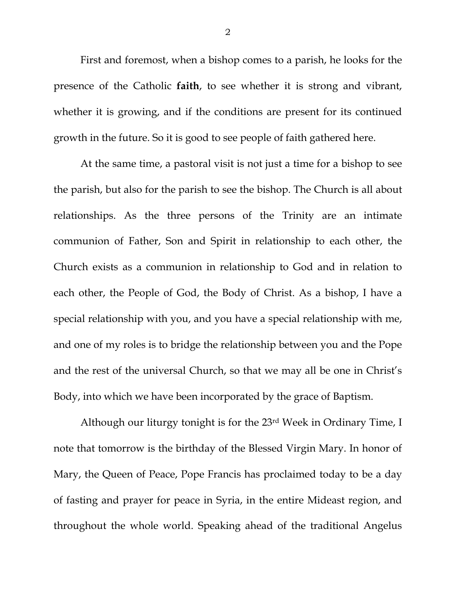First and foremost, when a bishop comes to a parish, he looks for the presence of the Catholic **faith**, to see whether it is strong and vibrant, whether it is growing, and if the conditions are present for its continued growth in the future. So it is good to see people of faith gathered here.

At the same time, a pastoral visit is not just a time for a bishop to see the parish, but also for the parish to see the bishop. The Church is all about relationships. As the three persons of the Trinity are an intimate communion of Father, Son and Spirit in relationship to each other, the Church exists as a communion in relationship to God and in relation to each other, the People of God, the Body of Christ. As a bishop, I have a special relationship with you, and you have a special relationship with me, and one of my roles is to bridge the relationship between you and the Pope and the rest of the universal Church, so that we may all be one in Christ's Body, into which we have been incorporated by the grace of Baptism.

Although our liturgy tonight is for the 23rd Week in Ordinary Time, I note that tomorrow is the birthday of the Blessed Virgin Mary. In honor of Mary, the Queen of Peace, Pope Francis has proclaimed today to be a day of fasting and prayer for peace in Syria, in the entire Mideast region, and throughout the whole world. Speaking ahead of the traditional Angelus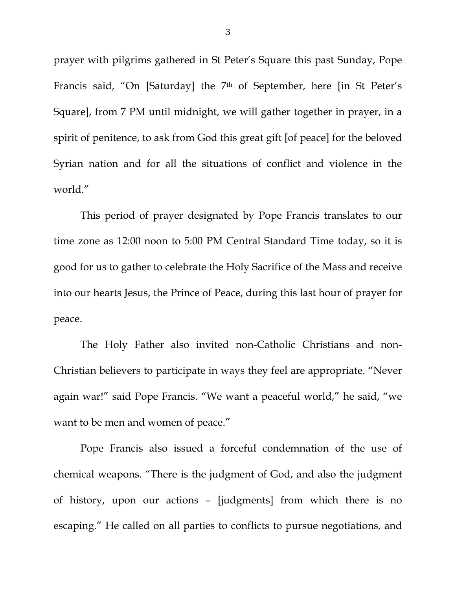prayer with pilgrims gathered in St Peter's Square this past Sunday, Pope Francis said, "On [Saturday] the 7<sup>th</sup> of September, here [in St Peter's Square], from 7 PM until midnight, we will gather together in prayer, in a spirit of penitence, to ask from God this great gift [of peace] for the beloved Syrian nation and for all the situations of conflict and violence in the world."

This period of prayer designated by Pope Francis translates to our time zone as 12:00 noon to 5:00 PM Central Standard Time today, so it is good for us to gather to celebrate the Holy Sacrifice of the Mass and receive into our hearts Jesus, the Prince of Peace, during this last hour of prayer for peace.

The Holy Father also invited non-Catholic Christians and non-Christian believers to participate in ways they feel are appropriate. "Never again war!" said Pope Francis. "We want a peaceful world," he said, "we want to be men and women of peace."

Pope Francis also issued a forceful condemnation of the use of chemical weapons. "There is the judgment of God, and also the judgment of history, upon our actions – [judgments] from which there is no escaping." He called on all parties to conflicts to pursue negotiations, and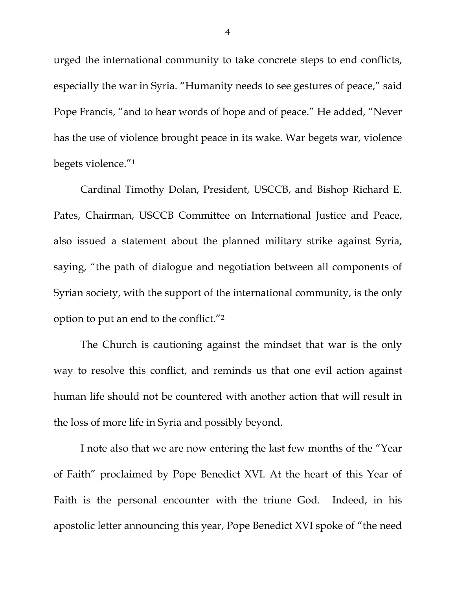urged the international community to take concrete steps to end conflicts, especially the war in Syria. "Humanity needs to see gestures of peace," said Pope Francis, "and to hear words of hope and of peace." He added, "Never has the use of violence brought peace in its wake. War begets war, violence begets violence."1

Cardinal Timothy Dolan, President, USCCB, and Bishop Richard E. Pates, Chairman, USCCB Committee on International Justice and Peace, also issued a statement about the planned military strike against Syria, saying, "the path of dialogue and negotiation between all components of Syrian society, with the support of the international community, is the only option to put an end to the conflict."2

The Church is cautioning against the mindset that war is the only way to resolve this conflict, and reminds us that one evil action against human life should not be countered with another action that will result in the loss of more life in Syria and possibly beyond.

I note also that we are now entering the last few months of the "Year of Faith" proclaimed by Pope Benedict XVI. At the heart of this Year of Faith is the personal encounter with the triune God. Indeed, in his apostolic letter announcing this year, Pope Benedict XVI spoke of "the need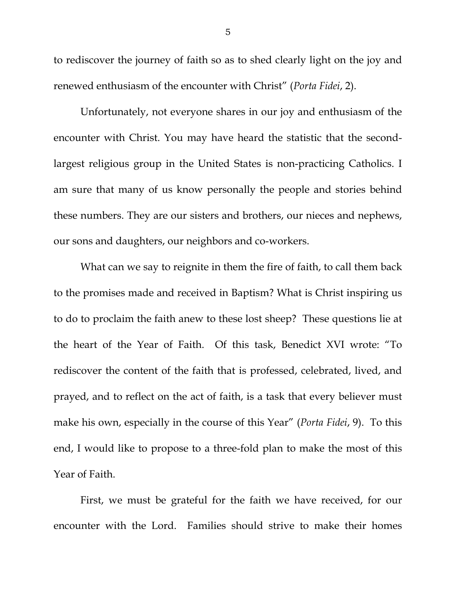to rediscover the journey of faith so as to shed clearly light on the joy and renewed enthusiasm of the encounter with Christ" (*Porta Fidei*, 2).

Unfortunately, not everyone shares in our joy and enthusiasm of the encounter with Christ. You may have heard the statistic that the secondlargest religious group in the United States is non-practicing Catholics. I am sure that many of us know personally the people and stories behind these numbers. They are our sisters and brothers, our nieces and nephews, our sons and daughters, our neighbors and co-workers.

What can we say to reignite in them the fire of faith, to call them back to the promises made and received in Baptism? What is Christ inspiring us to do to proclaim the faith anew to these lost sheep? These questions lie at the heart of the Year of Faith. Of this task, Benedict XVI wrote: "To rediscover the content of the faith that is professed, celebrated, lived, and prayed, and to reflect on the act of faith, is a task that every believer must make his own, especially in the course of this Year" (*Porta Fidei*, 9). To this end, I would like to propose to a three-fold plan to make the most of this Year of Faith.

 First, we must be grateful for the faith we have received, for our encounter with the Lord. Families should strive to make their homes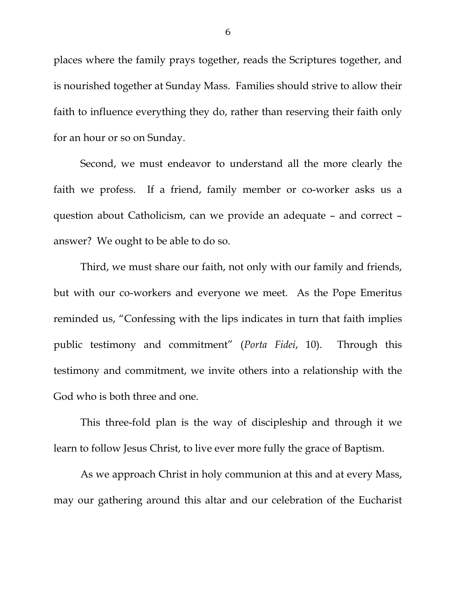places where the family prays together, reads the Scriptures together, and is nourished together at Sunday Mass. Families should strive to allow their faith to influence everything they do, rather than reserving their faith only for an hour or so on Sunday.

 Second, we must endeavor to understand all the more clearly the faith we profess. If a friend, family member or co-worker asks us a question about Catholicism, can we provide an adequate – and correct – answer? We ought to be able to do so.

 Third, we must share our faith, not only with our family and friends, but with our co-workers and everyone we meet. As the Pope Emeritus reminded us, "Confessing with the lips indicates in turn that faith implies public testimony and commitment" (*Porta Fidei*, 10). Through this testimony and commitment, we invite others into a relationship with the God who is both three and one.

 This three-fold plan is the way of discipleship and through it we learn to follow Jesus Christ, to live ever more fully the grace of Baptism.

As we approach Christ in holy communion at this and at every Mass, may our gathering around this altar and our celebration of the Eucharist